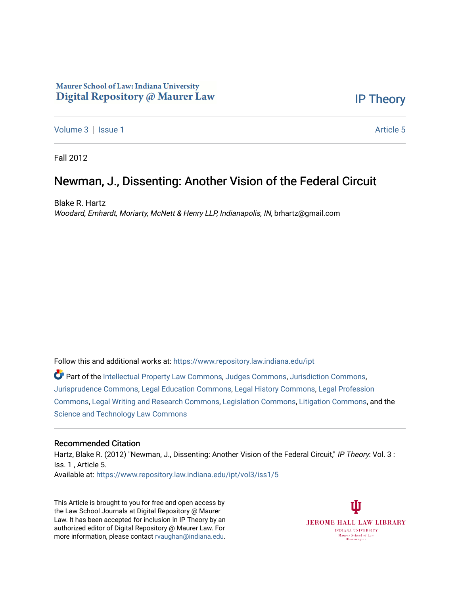# Maurer School of Law: Indiana University Digital Repository @ Maurer Law

[IP Theory](https://www.repository.law.indiana.edu/ipt) 

[Volume 3](https://www.repository.law.indiana.edu/ipt/vol3) | [Issue 1](https://www.repository.law.indiana.edu/ipt/vol3/iss1) Article 5

Fall 2012

# Newman, J., Dissenting: Another Vision of the Federal Circuit

Blake R. Hartz Woodard, Emhardt, Moriarty, McNett & Henry LLP, Indianapolis, IN, brhartz@gmail.com

Follow this and additional works at: [https://www.repository.law.indiana.edu/ipt](https://www.repository.law.indiana.edu/ipt?utm_source=www.repository.law.indiana.edu%2Fipt%2Fvol3%2Fiss1%2F5&utm_medium=PDF&utm_campaign=PDFCoverPages) 

Part of the [Intellectual Property Law Commons,](http://network.bepress.com/hgg/discipline/896?utm_source=www.repository.law.indiana.edu%2Fipt%2Fvol3%2Fiss1%2F5&utm_medium=PDF&utm_campaign=PDFCoverPages) [Judges Commons,](http://network.bepress.com/hgg/discipline/849?utm_source=www.repository.law.indiana.edu%2Fipt%2Fvol3%2Fiss1%2F5&utm_medium=PDF&utm_campaign=PDFCoverPages) [Jurisdiction Commons,](http://network.bepress.com/hgg/discipline/850?utm_source=www.repository.law.indiana.edu%2Fipt%2Fvol3%2Fiss1%2F5&utm_medium=PDF&utm_campaign=PDFCoverPages) [Jurisprudence Commons](http://network.bepress.com/hgg/discipline/610?utm_source=www.repository.law.indiana.edu%2Fipt%2Fvol3%2Fiss1%2F5&utm_medium=PDF&utm_campaign=PDFCoverPages), [Legal Education Commons](http://network.bepress.com/hgg/discipline/857?utm_source=www.repository.law.indiana.edu%2Fipt%2Fvol3%2Fiss1%2F5&utm_medium=PDF&utm_campaign=PDFCoverPages), [Legal History Commons,](http://network.bepress.com/hgg/discipline/904?utm_source=www.repository.law.indiana.edu%2Fipt%2Fvol3%2Fiss1%2F5&utm_medium=PDF&utm_campaign=PDFCoverPages) [Legal Profession](http://network.bepress.com/hgg/discipline/1075?utm_source=www.repository.law.indiana.edu%2Fipt%2Fvol3%2Fiss1%2F5&utm_medium=PDF&utm_campaign=PDFCoverPages)  [Commons](http://network.bepress.com/hgg/discipline/1075?utm_source=www.repository.law.indiana.edu%2Fipt%2Fvol3%2Fiss1%2F5&utm_medium=PDF&utm_campaign=PDFCoverPages), [Legal Writing and Research Commons](http://network.bepress.com/hgg/discipline/614?utm_source=www.repository.law.indiana.edu%2Fipt%2Fvol3%2Fiss1%2F5&utm_medium=PDF&utm_campaign=PDFCoverPages), [Legislation Commons,](http://network.bepress.com/hgg/discipline/859?utm_source=www.repository.law.indiana.edu%2Fipt%2Fvol3%2Fiss1%2F5&utm_medium=PDF&utm_campaign=PDFCoverPages) [Litigation Commons](http://network.bepress.com/hgg/discipline/910?utm_source=www.repository.law.indiana.edu%2Fipt%2Fvol3%2Fiss1%2F5&utm_medium=PDF&utm_campaign=PDFCoverPages), and the [Science and Technology Law Commons](http://network.bepress.com/hgg/discipline/875?utm_source=www.repository.law.indiana.edu%2Fipt%2Fvol3%2Fiss1%2F5&utm_medium=PDF&utm_campaign=PDFCoverPages)

# Recommended Citation

Hartz, Blake R. (2012) "Newman, J., Dissenting: Another Vision of the Federal Circuit," IP Theory: Vol. 3 : Iss. 1 , Article 5. Available at: [https://www.repository.law.indiana.edu/ipt/vol3/iss1/5](https://www.repository.law.indiana.edu/ipt/vol3/iss1/5?utm_source=www.repository.law.indiana.edu%2Fipt%2Fvol3%2Fiss1%2F5&utm_medium=PDF&utm_campaign=PDFCoverPages) 

This Article is brought to you for free and open access by the Law School Journals at Digital Repository @ Maurer Law. It has been accepted for inclusion in IP Theory by an authorized editor of Digital Repository @ Maurer Law. For more information, please contact [rvaughan@indiana.edu](mailto:rvaughan@indiana.edu).

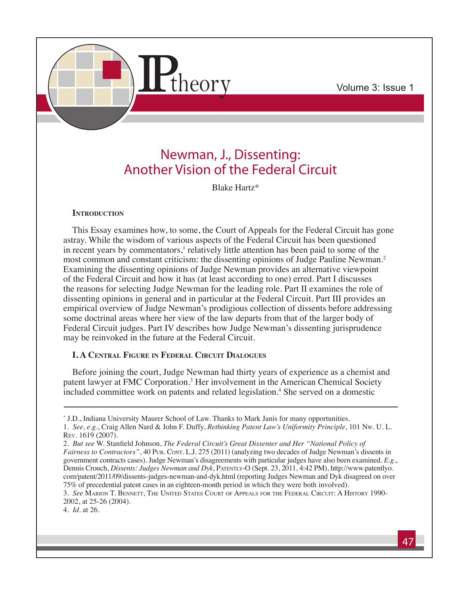

# Newman, J., Dissenting: Another Vision of the Federal Circuit

Blake Hartz\*

# **INTRODUCTION**

This Essay examines how, to some, the Court of Appeals for the Federal Circuit has gone astray. While the wisdom of various aspects of the Federal Circuit has been questioned in recent years by commentators,<sup>1</sup> relatively little attention has been paid to some of the most common and constant criticism: the dissenting opinions of Judge Pauline Newman.2 Examining the dissenting opinions of Judge Newman provides an alternative viewpoint of the Federal Circuit and how it has (at least according to one) erred. Part I discusses the reasons for selecting Judge Newman for the leading role. Part II examines the role of dissenting opinions in general and in particular at the Federal Circuit. Part III provides an empirical overview of Judge Newman's prodigious collection of dissents before addressing some doctrinal areas where her view of the law departs from that of the larger body of Federal Circuit judges. Part IV describes how Judge Newman's dissenting jurisprudence may be reinvoked in the future at the Federal Circuit.

# **I. A Central Figure in Federal Circuit Dialogues**

Before joining the court, Judge Newman had thirty years of experience as a chemist and patent lawyer at FMC Corporation.<sup>3</sup> Her involvement in the American Chemical Society included committee work on patents and related legislation.<sup>4</sup> She served on a domestic

4. *Id.* at 26.

<sup>\*</sup> J.D., Indiana University Maurer School of Law. Thanks to Mark Janis for many opportunities. 1. *See, e.g.*, Craig Allen Nard & John F. Duffy, *Rethinking Patent Law's Uniformity Principle*, 101 Nw. U. L. Rev. 1619 (2007).

<sup>2.</sup> *But see* W. Stanfield Johnson, *The Federal Circuit's Great Dissenter and Her "National Policy of Fairness to Contractors"*, 40 Pub. Contr. L.J. 275 (2011) (analyzing two decades of Judge Newman's dissents in government contracts cases). Judge Newman's disagreements with particular judges have also been examined. *E.g.*, Dennis Crouch, *Dissents: Judges Newman and Dyk*, Patently-O (Sept. 23, 2011, 4:42 PM), http://www.patentlyo. com/patent/2011/09/dissents-judges-newman-and-dyk.html (reporting Judges Newman and Dyk disagreed on over 75% of precedential patent cases in an eighteen-month period in which they were both involved).

<sup>3.</sup> *See* Marion T. Bennett, The United States Court of Appeals for the Federal Circuit: A History 1990- 2002, at 25-26 (2004).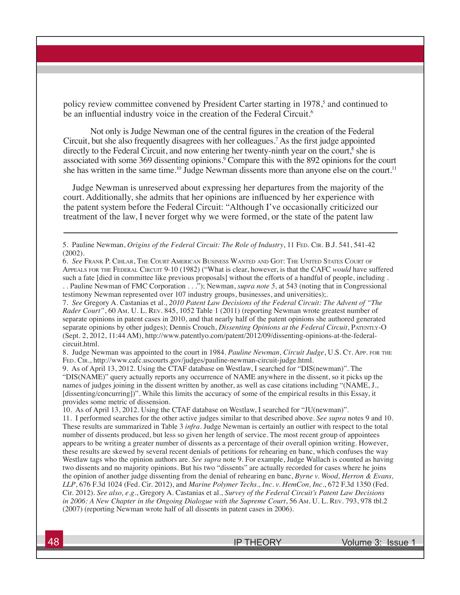policy review committee convened by President Carter starting in 1978,<sup>5</sup> and continued to be an influential industry voice in the creation of the Federal Circuit.<sup>6</sup>

Not only is Judge Newman one of the central figures in the creation of the Federal Circuit, but she also frequently disagrees with her colleagues.7 As the first judge appointed directly to the Federal Circuit, and now entering her twenty-ninth year on the court,<sup>8</sup> she is associated with some 369 dissenting opinions.<sup>9</sup> Compare this with the 892 opinions for the court she has written in the same time.<sup>10</sup> Judge Newman dissents more than anyone else on the court.<sup>11</sup>

Judge Newman is unreserved about expressing her departures from the majority of the court. Additionally, she admits that her opinions are influenced by her experience with the patent system before the Federal Circuit: "Although I've occasionally criticized our treatment of the law, I never forget why we were formed, or the state of the patent law

testimony Newman represented over 107 industry groups, businesses, and universities);.

7. *See* Gregory A. Castanias et al., *2010 Patent Law Decisions of the Federal Circuit: The Advent of "The Rader Court"*, 60 Am. U. L. Rev. 845, 1052 Table 1 (2011) (reporting Newman wrote greatest number of separate opinions in patent cases in 2010, and that nearly half of the patent opinions she authored generated separate opinions by other judges); Dennis Crouch, *Dissenting Opinions at the Federal Circuit*, Patently-O (Sept. 2, 2012, 11:44 AM), http://www.patentlyo.com/patent/2012/09/dissenting-opinions-at-the-federalcircuit.html.

8. Judge Newman was appointed to the court in 1984. *Pauline Newman, Circuit Judge*, U.S. C<sub>T</sub>. App. FOR THE FED. CIR., http://www.cafc.uscourts.gov/judges/pauline-newman-circuit-judge.html.

9. As of April 13, 2012. Using the CTAF database on Westlaw, I searched for "DIS(newman)". The "DIS(NAME)" query actually reports any occurrence of NAME anywhere in the dissent, so it picks up the names of judges joining in the dissent written by another, as well as case citations including "(NAME, J., [dissenting/concurring])". While this limits the accuracy of some of the empirical results in this Essay, it provides some metric of dissension.

10. As of April 13, 2012. Using the CTAF database on Westlaw, I searched for "JU(newman)".

11. I performed searches for the other active judges similar to that described above. *See supra* notes 9 and 10. These results are summarized in Table 3 *infra*. Judge Newman is certainly an outlier with respect to the total number of dissents produced, but less so given her length of service. The most recent group of appointees appears to be writing a greater number of dissents as a percentage of their overall opinion writing. However, these results are skewed by several recent denials of petitions for rehearing en banc, which confuses the way Westlaw tags who the opinion authors are. *See supra* note 9. For example, Judge Wallach is counted as having two dissents and no majority opinions. But his two "dissents" are actually recorded for cases where he joins the opinion of another judge dissenting from the denial of rehearing en banc, *Byrne v. Wood, Herron & Evans, LLP*, 676 F.3d 1024 (Fed. Cir. 2012), and *Marine Polymer Techs., Inc. v. HemCon, Inc.*, 672 F.3d 1350 (Fed. Cir. 2012). *See also, e.g.*, Gregory A. Castanias et al., *Survey of the Federal Circuit's Patent Law Decisions in 2006: A New Chapter in the Ongoing Dialogue with the Supreme Court*, 56 Am. U. L. Rev. 793, 978 tbl.2 (2007) (reporting Newman wrote half of all dissents in patent cases in 2006).

<sup>5.</sup> Pauline Newman, *Origins of the Federal Circuit: The Role of Industry*, 11 FED. CIR. B.J. 541, 541-42 (2002).

<sup>6.</sup> *See* Frank P. Cihlar, The Court American Business Wanted and Got: The United States Court of Appeals for the Federal Circuit 9-10 (1982) ("What is clear, however, is that the CAFC *would* have suffered such a fate [died in committee like previous proposals] without the efforts of a handful of people, including . . . Pauline Newman of FMC Corporation . . ."); Newman, *supra note 5,* at 543 (noting that in Congressional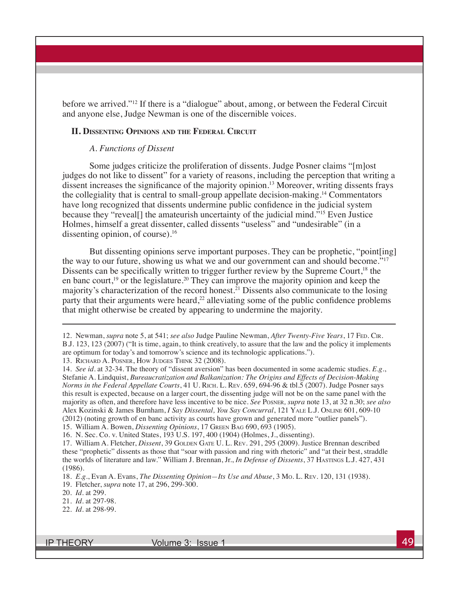before we arrived."12 If there is a "dialogue" about, among, or between the Federal Circuit and anyone else, Judge Newman is one of the discernible voices.

#### **II. Dissenting Opinions and the Federal Circuit**

#### *A. Functions of Dissent*

Some judges criticize the proliferation of dissents. Judge Posner claims "[m]ost judges do not like to dissent" for a variety of reasons, including the perception that writing a dissent increases the significance of the majority opinion.<sup>13</sup> Moreover, writing dissents frays the collegiality that is central to small-group appellate decision-making.14 Commentators have long recognized that dissents undermine public confidence in the judicial system because they "reveal[] the amateurish uncertainty of the judicial mind."<sup>15</sup> Even Justice Holmes, himself a great dissenter, called dissents "useless" and "undesirable" (in a dissenting opinion, of course).<sup>16</sup>

But dissenting opinions serve important purposes. They can be prophetic, "point[ing] the way to our future, showing us what we and our government can and should become."<sup>17</sup> Dissents can be specifically written to trigger further review by the Supreme Court,<sup>18</sup> the en banc court,<sup>19</sup> or the legislature.<sup>20</sup> They can improve the majority opinion and keep the majority's characterization of the record honest.<sup>21</sup> Dissents also communicate to the losing party that their arguments were heard, $^{22}$  alleviating some of the public confidence problems that might otherwise be created by appearing to undermine the majority.

13. Richard A. Posner, How Judges Think 32 (2008).

15. William A. Bowen, *Dissenting Opinions*, 17 Green Bag 690, 693 (1905).

<sup>12.</sup> Newman, *supra* note 5, at 541; *see also* Judge Pauline Newman, *After Twenty-Five Years*, 17 Fed. Cir. B.J. 123, 123 (2007) ("It is time, again, to think creatively, to assure that the law and the policy it implements are optimum for today's and tomorrow's science and its technologic applications.").

<sup>14.</sup> *See id.* at 32-34. The theory of "dissent aversion" has been documented in some academic studies. *E.g.*, Stefanie A. Lindquist, *Bureaucratization and Balkanization: The Origins and Effects of Decision-Making Norms in the Federal Appellate Courts*, 41 U. Rich. L. Rev. 659, 694-96 & tbl.5 (2007). Judge Posner says this result is expected, because on a larger court, the dissenting judge will not be on the same panel with the majority as often, and therefore have less incentive to be nice. *See* Posner*, supra* note 13, at 32 n.30; *see also*  Alex Kozinski & James Burnham, *I Say Dissental, You Say Concurral*, 121 Yale L.J. Online 601, 609-10 (2012) (noting growth of en banc activity as courts have grown and generated more "outlier panels").

<sup>16.</sup> N. Sec. Co. v. United States, 193 U.S. 197, 400 (1904) (Holmes, J., dissenting).

<sup>17.</sup> William A. Fletcher, *Dissent*, 39 GOLDEN GATE U. L. REV. 291, 295 (2009). Justice Brennan described these "prophetic" dissents as those that "soar with passion and ring with rhetoric" and "at their best, straddle the worlds of literature and law." William J. Brennan, Jr., *In Defense of Dissents*, 37 Hastings L.J. 427, 431 (1986).

<sup>18.</sup> *E.g.*, Evan A. Evans, *The Dissenting Opinion—Its Use and Abuse*, 3 Mo. L. Rev. 120, 131 (1938).

<sup>19.</sup> Fletcher, *supra* note 17, at 296, 299-300.

<sup>20.</sup> *Id.* at 299.

<sup>21.</sup> *Id.* at 297-98.

<sup>22.</sup> *Id.* at 298-99.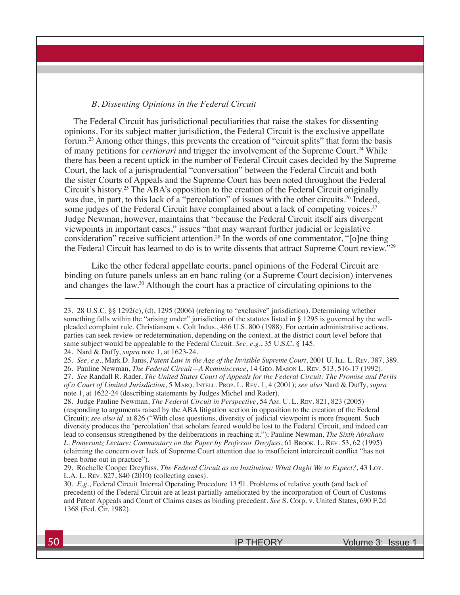#### *B. Dissenting Opinions in the Federal Circuit*

The Federal Circuit has jurisdictional peculiarities that raise the stakes for dissenting opinions. For its subject matter jurisdiction, the Federal Circuit is the exclusive appellate forum.23 Among other things, this prevents the creation of "circuit splits" that form the basis of many petitions for *certiorari* and trigger the involvement of the Supreme Court.24 While there has been a recent uptick in the number of Federal Circuit cases decided by the Supreme Court, the lack of a jurisprudential "conversation" between the Federal Circuit and both the sister Courts of Appeals and the Supreme Court has been noted throughout the Federal Circuit's history.25 The ABA's opposition to the creation of the Federal Circuit originally was due, in part, to this lack of a "percolation" of issues with the other circuits.<sup>26</sup> Indeed, some judges of the Federal Circuit have complained about a lack of competing voices.<sup>27</sup> Judge Newman, however, maintains that "because the Federal Circuit itself airs divergent viewpoints in important cases," issues "that may warrant further judicial or legislative consideration" receive sufficient attention.28 In the words of one commentator, "[o]ne thing the Federal Circuit has learned to do is to write dissents that attract Supreme Court review."29

Like the other federal appellate courts, panel opinions of the Federal Circuit are binding on future panels unless an en banc ruling (or a Supreme Court decision) intervenes and changes the law.30 Although the court has a practice of circulating opinions to the

24. Nard & Duffy, *supra* note 1, at 1623-24.

26. Pauline Newman, *The Federal Circuit—A Reminiscence*, 14 Geo. Mason L. Rev. 513, 516-17 (1992). 27. *See* Randall R. Rader, *The United States Court of Appeals for the Federal Circuit: The Promise and Perils of a Court of Limited Jurisdiction*, 5 Marq. Intell. Prop. L. Rev. 1, 4 (2001); *see also* Nard & Duffy, *supra*  note 1, at 1622-24 (describing statements by Judges Michel and Rader).

28. Judge Pauline Newman, *The Federal Circuit in Perspective*, 54 Am. U. L. Rev. 821, 823 (2005) (responding to arguments raised by the ABA litigation section in opposition to the creation of the Federal Circuit); *see also id.* at 826 ("With close questions, diversity of judicial viewpoint is more frequent. Such diversity produces the 'percolation' that scholars feared would be lost to the Federal Circuit, and indeed can lead to consensus strengthened by the deliberations in reaching it."); Pauline Newman, *The Sixth Abraham L. Pomerantz Lecture: Commentary on the Paper by Professor Dreyfuss*, 61 Brook. L. Rev. 53, 62 (1995) (claiming the concern over lack of Supreme Court attention due to insufficient intercircuit conflict "has not been borne out in practice").

29. Rochelle Cooper Dreyfuss, *The Federal Circuit as an Institution: What Ought We to Expect?*, 43 Loy. L.A. L. Rev. 827, 840 (2010) (collecting cases).

30. *E.g.*, Federal Circuit Internal Operating Procedure 13 ¶1. Problems of relative youth (and lack of precedent) of the Federal Circuit are at least partially ameliorated by the incorporation of Court of Customs and Patent Appeals and Court of Claims cases as binding precedent. *See* S. Corp. v. United States, 690 F.2d 1368 (Fed. Cir. 1982).

<sup>23. 28</sup> U.S.C. §§ 1292(c), (d), 1295 (2006) (referring to "exclusive" jurisdiction). Determining whether something falls within the "arising under" jurisdiction of the statutes listed in § 1295 is governed by the wellpleaded complaint rule. Christianson v. Colt Indus., 486 U.S. 800 (1988). For certain administrative actions, parties can seek review or redetermination, depending on the context, at the district court level before that same subject would be appealable to the Federal Circuit. *See, e.g.*, 35 U.S.C. § 145.

<sup>25.</sup> *See, e.g.*, Mark D. Janis, *Patent Law in the Age of the Invisible Supreme Court*, 2001 U. Ill. L. Rev. 387, 389.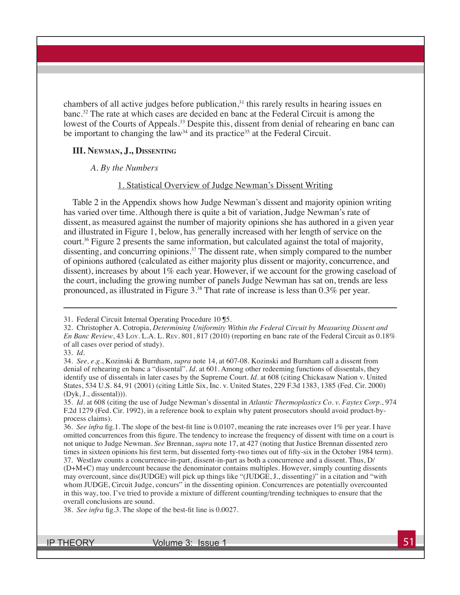chambers of all active judges before publication, $31$  this rarely results in hearing issues en banc.32 The rate at which cases are decided en banc at the Federal Circuit is among the lowest of the Courts of Appeals.<sup>33</sup> Despite this, dissent from denial of rehearing en banc can be important to changing the law<sup>34</sup> and its practice<sup>35</sup> at the Federal Circuit.

#### **III. Newman, J., Dissenting**

#### *A. By the Numbers*

#### 1. Statistical Overview of Judge Newman's Dissent Writing

Table 2 in the Appendix shows how Judge Newman's dissent and majority opinion writing has varied over time. Although there is quite a bit of variation, Judge Newman's rate of dissent, as measured against the number of majority opinions she has authored in a given year and illustrated in Figure 1, below, has generally increased with her length of service on the court.36 Figure 2 presents the same information, but calculated against the total of majority, dissenting, and concurring opinions.<sup>37</sup> The dissent rate, when simply compared to the number of opinions authored (calculated as either majority plus dissent or majority, concurrence, and dissent), increases by about 1% each year. However, if we account for the growing caseload of the court, including the growing number of panels Judge Newman has sat on, trends are less pronounced, as illustrated in Figure 3.38 That rate of increase is less than 0.3% per year.

<sup>31.</sup> Federal Circuit Internal Operating Procedure 10 ¶5.

<sup>32.</sup> Christopher A. Cotropia, *Determining Uniformity Within the Federal Circuit by Measuring Dissent and En Banc Review*, 43 Loy. L.A. L. Rev. 801, 817 (2010) (reporting en banc rate of the Federal Circuit as 0.18% of all cases over period of study).

<sup>33.</sup> *Id.*

<sup>34.</sup> *See, e.g.*, Kozinski & Burnham, *supra* note 14, at 607-08. Kozinski and Burnham call a dissent from denial of rehearing en banc a "dissental". *Id.* at 601. Among other redeeming functions of dissentals, they identify use of dissentals in later cases by the Supreme Court. *Id.* at 608 (citing Chickasaw Nation v. United States, 534 U.S. 84, 91 (2001) (citing Little Six, Inc. v. United States, 229 F.3d 1383, 1385 (Fed. Cir. 2000) (Dyk, J., dissental))).

<sup>35.</sup> *Id.* at 608 (citing the use of Judge Newman's dissental in *Atlantic Thermoplastics Co. v. Faytex Corp.*, 974 F.2d 1279 (Fed. Cir. 1992), in a reference book to explain why patent prosecutors should avoid product-byprocess claims).

<sup>36.</sup> *See infra* fig.1. The slope of the best-fit line is 0.0107, meaning the rate increases over 1% per year. I have omitted concurrences from this figure. The tendency to increase the frequency of dissent with time on a court is not unique to Judge Newman. *See* Brennan, *supra* note 17, at 427 (noting that Justice Brennan dissented zero times in sixteen opinions his first term, but dissented forty-two times out of fifty-six in the October 1984 term). 37. Westlaw counts a concurrence-in-part, dissent-in-part as both a concurrence and a dissent. Thus, D/

<sup>(</sup>D+M+C) may undercount because the denominator contains multiples. However, simply counting dissents may overcount, since dis(JUDGE) will pick up things like "(JUDGE, J., dissenting)" in a citation and "with whom JUDGE, Circuit Judge, concurs" in the dissenting opinion. Concurrences are potentially overcounted in this way, too. I've tried to provide a mixture of different counting/trending techniques to ensure that the overall conclusions are sound.

<sup>38.</sup> *See infra* fig.3. The slope of the best-fit line is 0.0027.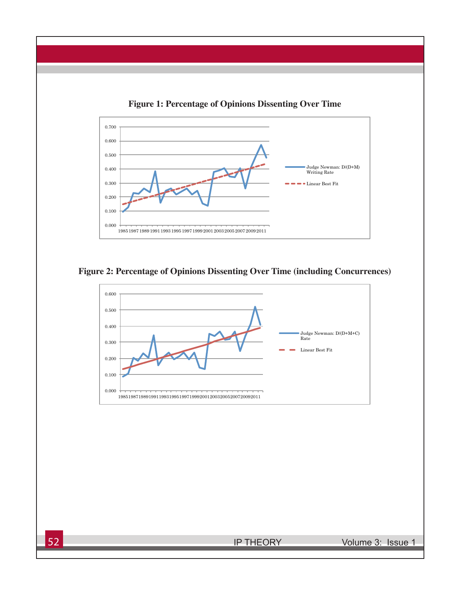

**Figure 1: Percentage of Opinions Dissenting Over Time**



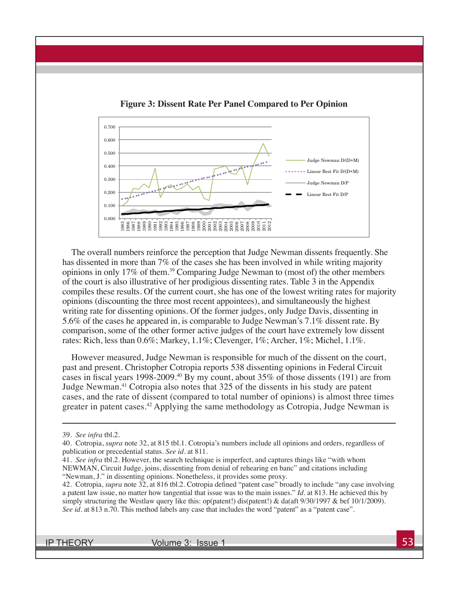

**Figure 3: Dissent Rate Per Panel Compared to Per Opinion**

The overall numbers reinforce the perception that Judge Newman dissents frequently. She has dissented in more than 7% of the cases she has been involved in while writing majority opinions in only 17% of them.39 Comparing Judge Newman to (most of) the other members of the court is also illustrative of her prodigious dissenting rates. Table 3 in the Appendix compiles these results. Of the current court, she has one of the lowest writing rates for majority opinions (discounting the three most recent appointees), and simultaneously the highest writing rate for dissenting opinions. Of the former judges, only Judge Davis, dissenting in 5.6% of the cases he appeared in, is comparable to Judge Newman's 7.1% dissent rate. By comparison, some of the other former active judges of the court have extremely low dissent rates: Rich, less than 0.6%; Markey, 1.1%; Clevenger, 1%; Archer, 1%; Michel, 1.1%.

However measured, Judge Newman is responsible for much of the dissent on the court, past and present. Christopher Cotropia reports 538 dissenting opinions in Federal Circuit cases in fiscal years 1998-2009.<sup>40</sup> By my count, about 35% of those dissents (191) are from Judge Newman.41 Cotropia also notes that 325 of the dissents in his study are patent cases, and the rate of dissent (compared to total number of opinions) is almost three times greater in patent cases.<sup>42</sup> Applying the same methodology as Cotropia, Judge Newman is

<sup>39.</sup> *See infra* tbl.2.

<sup>40.</sup> Cotropia, *supra* note 32, at 815 tbl.1. Cotropia's numbers include all opinions and orders, regardless of publication or precedential status. *See id.* at 811.

<sup>41.</sup> *See infra* tbl.2. However, the search technique is imperfect, and captures things like "with whom NEWMAN, Circuit Judge, joins, dissenting from denial of rehearing en banc" and citations including "Newman, J." in dissenting opinions. Nonetheless, it provides some proxy.

<sup>42.</sup> Cotropia, *supra* note 32, at 816 tbl.2. Cotropia defined "patent case" broadly to include "any case involving a patent law issue, no matter how tangential that issue was to the main issues." *Id.* at 813. He achieved this by simply structuring the Westlaw query like this: op(patent!) dis(patent!) & da(aft 9/30/1997 & bef 10/1/2009). *See id.* at 813 n.70. This method labels any case that includes the word "patent" as a "patent case".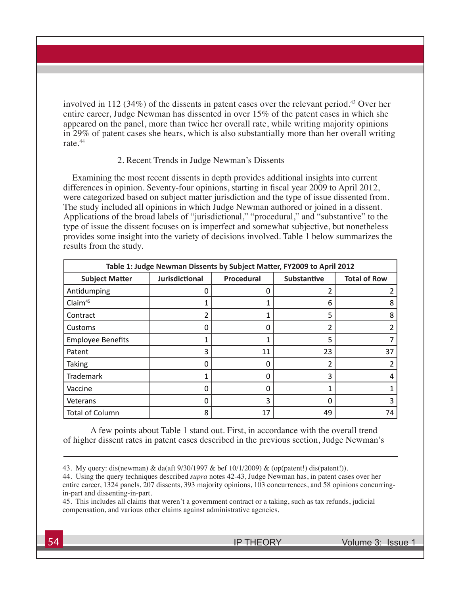involved in 112 (34%) of the dissents in patent cases over the relevant period.<sup>43</sup> Over her entire career, Judge Newman has dissented in over 15% of the patent cases in which she appeared on the panel, more than twice her overall rate, while writing majority opinions in 29% of patent cases she hears, which is also substantially more than her overall writing rate.44

## 2. Recent Trends in Judge Newman's Dissents

Examining the most recent dissents in depth provides additional insights into current differences in opinion. Seventy-four opinions, starting in fiscal year 2009 to April 2012, were categorized based on subject matter jurisdiction and the type of issue dissented from. The study included all opinions in which Judge Newman authored or joined in a dissent. Applications of the broad labels of "jurisdictional," "procedural," and "substantive" to the type of issue the dissent focuses on is imperfect and somewhat subjective, but nonetheless provides some insight into the variety of decisions involved. Table 1 below summarizes the results from the study.

| Table 1: Judge Newman Dissents by Subject Matter, FY2009 to April 2012 |                       |            |                    |                     |  |  |  |  |  |  |  |
|------------------------------------------------------------------------|-----------------------|------------|--------------------|---------------------|--|--|--|--|--|--|--|
| <b>Subject Matter</b>                                                  | <b>Jurisdictional</b> | Procedural | <b>Substantive</b> | <b>Total of Row</b> |  |  |  |  |  |  |  |
| Antidumping                                                            | 0                     |            |                    |                     |  |  |  |  |  |  |  |
| Claim <sup>45</sup>                                                    |                       |            | 6                  | 8                   |  |  |  |  |  |  |  |
| Contract                                                               | 2                     |            | 5                  | 8                   |  |  |  |  |  |  |  |
| Customs                                                                | 0                     | 0          | 2                  |                     |  |  |  |  |  |  |  |
| <b>Employee Benefits</b>                                               | 1                     |            | 5                  |                     |  |  |  |  |  |  |  |
| Patent                                                                 | 3                     | 11         | 23                 | 37                  |  |  |  |  |  |  |  |
| <b>Taking</b>                                                          | 0                     |            | ว                  |                     |  |  |  |  |  |  |  |
| Trademark                                                              | 1                     | O          | 3                  |                     |  |  |  |  |  |  |  |
| Vaccine                                                                | 0                     |            |                    |                     |  |  |  |  |  |  |  |
| Veterans                                                               | 0                     | 3          | 0                  | ੨                   |  |  |  |  |  |  |  |
| <b>Total of Column</b>                                                 | 8                     | 17         | 49                 | 74                  |  |  |  |  |  |  |  |

A few points about Table 1 stand out. First, in accordance with the overall trend of higher dissent rates in patent cases described in the previous section, Judge Newman's

<sup>43.</sup> My query: dis(newman) & da(aft 9/30/1997 & bef 10/1/2009) & (op(patent!) dis(patent!)).

<sup>44.</sup> Using the query techniques described *supra* notes 42-43, Judge Newman has, in patent cases over her entire career, 1324 panels, 207 dissents, 393 majority opinions, 103 concurrences, and 58 opinions concurringin-part and dissenting-in-part.

<sup>45.</sup> This includes all claims that weren't a government contract or a taking, such as tax refunds, judicial compensation, and various other claims against administrative agencies.

**<sup>54</sup> IP THEORY** Volume 3: Issue 1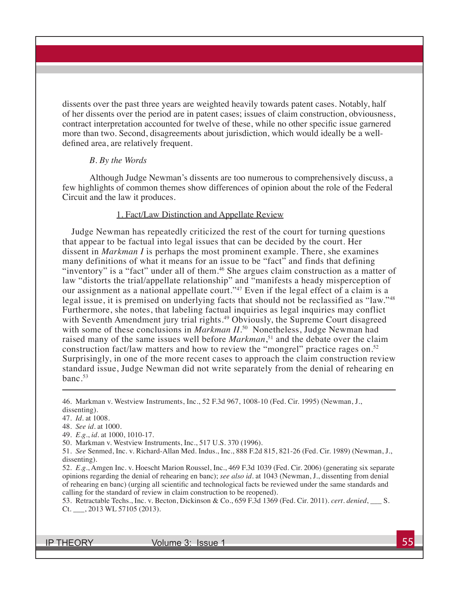dissents over the past three years are weighted heavily towards patent cases. Notably, half of her dissents over the period are in patent cases; issues of claim construction, obviousness, contract interpretation accounted for twelve of these, while no other specific issue garnered more than two. Second, disagreements about jurisdiction, which would ideally be a welldefined area, are relatively frequent.

## *B. By the Words*

Although Judge Newman's dissents are too numerous to comprehensively discuss, a few highlights of common themes show differences of opinion about the role of the Federal Circuit and the law it produces.

# 1. Fact/Law Distinction and Appellate Review

Judge Newman has repeatedly criticized the rest of the court for turning questions that appear to be factual into legal issues that can be decided by the court. Her dissent in *Markman I* is perhaps the most prominent example. There, she examines many definitions of what it means for an issue to be "fact" and finds that defining "inventory" is a "fact" under all of them.<sup>46</sup> She argues claim construction as a matter of law "distorts the trial/appellate relationship" and "manifests a heady misperception of our assignment as a national appellate court."<sup>47</sup> Even if the legal effect of a claim is a legal issue, it is premised on underlying facts that should not be reclassified as "law."<sup>48</sup> Furthermore, she notes, that labeling factual inquiries as legal inquiries may conflict with Seventh Amendment jury trial rights.<sup>49</sup> Obviously, the Supreme Court disagreed with some of these conclusions in *Markman II*.<sup>50</sup> Nonetheless, Judge Newman had raised many of the same issues well before *Markman*, 51 and the debate over the claim construction fact/law matters and how to review the "mongrel" practice rages on.<sup>52</sup> Surprisingly, in one of the more recent cases to approach the claim construction review standard issue, Judge Newman did not write separately from the denial of rehearing en banc.53

- 49. *E.g.*, *id.* at 1000, 1010-17.
- 50. Markman v. Westview Instruments, Inc., 517 U.S. 370 (1996).

53. Retractable Techs., Inc. v. Becton, Dickinson & Co., 659 F.3d 1369 (Fed. Cir. 2011). *cert. denied*, \_\_\_ S. Ct. \_\_\_, 2013 WL 57105 (2013).

<sup>46.</sup> Markman v. Westview Instruments, Inc., 52 F.3d 967, 1008-10 (Fed. Cir. 1995) (Newman, J., dissenting).

<sup>47.</sup> *Id.* at 1008.

<sup>48.</sup> *See id.* at 1000.

<sup>51.</sup> *See* Senmed, Inc. v. Richard-Allan Med. Indus., Inc., 888 F.2d 815, 821-26 (Fed. Cir. 1989) (Newman, J., dissenting).

<sup>52.</sup> *E.g.*, Amgen Inc. v. Hoescht Marion Roussel, Inc., 469 F.3d 1039 (Fed. Cir. 2006) (generating six separate opinions regarding the denial of rehearing en banc); *see also id.* at 1043 (Newman, J., dissenting from denial of rehearing en banc) (urging all scientific and technological facts be reviewed under the same standards and calling for the standard of review in claim construction to be reopened).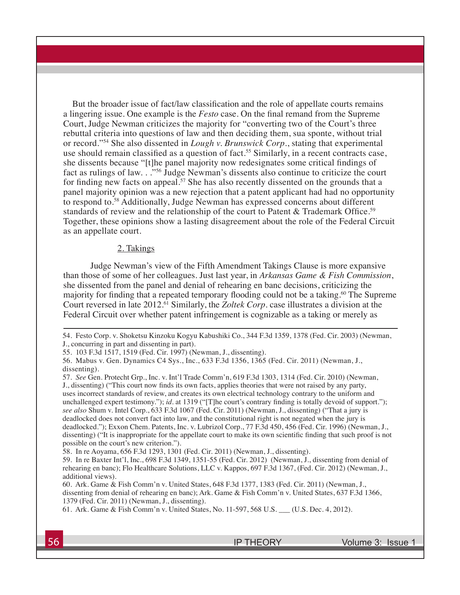But the broader issue of fact/law classification and the role of appellate courts remains a lingering issue. One example is the *Festo* case. On the final remand from the Supreme Court, Judge Newman criticizes the majority for "converting two of the Court's three rebuttal criteria into questions of law and then deciding them, sua sponte, without trial or record."54 She also dissented in *Lough v. Brunswick Corp.*, stating that experimental use should remain classified as a question of fact.<sup>55</sup> Similarly, in a recent contracts case, she dissents because "[t]he panel majority now redesignates some critical findings of fact as rulings of law. . .<sup>"56</sup> Judge Newman's dissents also continue to criticize the court for finding new facts on appeal.<sup>57</sup> She has also recently dissented on the grounds that a panel majority opinion was a new rejection that a patent applicant had had no opportunity to respond to.58 Additionally, Judge Newman has expressed concerns about different standards of review and the relationship of the court to Patent & Trademark Office.<sup>59</sup> Together, these opinions show a lasting disagreement about the role of the Federal Circuit as an appellate court.

# 2. Takings

Judge Newman's view of the Fifth Amendment Takings Clause is more expansive than those of some of her colleagues. Just last year, in *Arkansas Game & Fish Commission*, she dissented from the panel and denial of rehearing en banc decisions, criticizing the majority for finding that a repeated temporary flooding could not be a taking.<sup>60</sup> The Supreme Court reversed in late 2012.<sup>61</sup> Similarly, the *Zoltek Corp*. case illustrates a division at the Federal Circuit over whether patent infringement is cognizable as a taking or merely as

54. Festo Corp. v. Shoketsu Kinzoku Kogyu Kabushiki Co., 344 F.3d 1359, 1378 (Fed. Cir. 2003) (Newman, J., concurring in part and dissenting in part).

55. 103 F.3d 1517, 1519 (Fed. Cir. 1997) (Newman, J., dissenting).

56. Mabus v. Gen. Dynamics C4 Sys., Inc., 633 F.3d 1356, 1365 (Fed. Cir. 2011) (Newman, J., dissenting).

57. *See* Gen. Protecht Grp., Inc. v. Int'l Trade Comm'n, 619 F.3d 1303, 1314 (Fed. Cir. 2010) (Newman, J., dissenting) ("This court now finds its own facts, applies theories that were not raised by any party, uses incorrect standards of review, and creates its own electrical technology contrary to the uniform and unchallenged expert testimony."); *id.* at 1319 ("[T]he court's contrary finding is totally devoid of support."); *see also* Shum v. Intel Corp., 633 F.3d 1067 (Fed. Cir. 2011) (Newman, J., dissenting) ("That a jury is deadlocked does not convert fact into law, and the constitutional right is not negated when the jury is deadlocked."); Exxon Chem. Patents, Inc. v. Lubrizol Corp., 77 F.3d 450, 456 (Fed. Cir. 1996) (Newman, J., dissenting) ("It is inappropriate for the appellate court to make its own scientific finding that such proof is not possible on the court's new criterion.").

58. In re Aoyama, 656 F.3d 1293, 1301 (Fed. Cir. 2011) (Newman, J., dissenting).

59. In re Baxter Int'l, Inc., 698 F.3d 1349, 1351-55 (Fed. Cir. 2012) (Newman, J., dissenting from denial of rehearing en banc); Flo Healthcare Solutions, LLC v. Kappos, 697 F.3d 1367, (Fed. Cir. 2012) (Newman, J., additional views).

60. Ark. Game & Fish Comm'n v. United States, 648 F.3d 1377, 1383 (Fed. Cir. 2011) (Newman, J., dissenting from denial of rehearing en banc); Ark. Game & Fish Comm'n v. United States, 637 F.3d 1366, 1379 (Fed. Cir. 2011) (Newman, J., dissenting).

61. Ark. Game & Fish Comm'n v. United States, No. 11-597, 568 U.S. \_\_\_ (U.S. Dec. 4, 2012).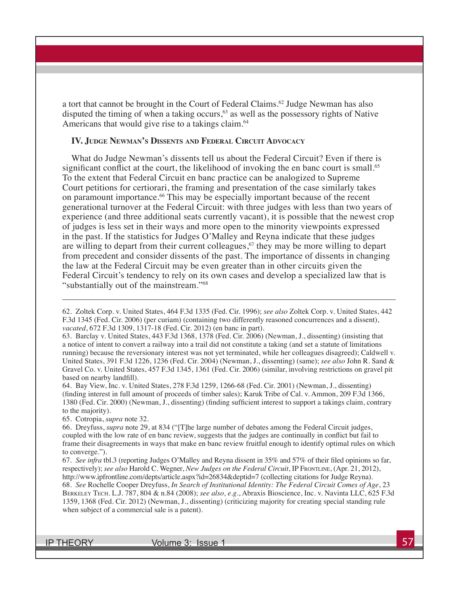a tort that cannot be brought in the Court of Federal Claims.<sup>62</sup> Judge Newman has also disputed the timing of when a taking occurs, $63$  as well as the possessory rights of Native Americans that would give rise to a takings claim.<sup>64</sup>

#### **IV. Judge Newman's Dissents and Federal Circuit Advocacy**

What do Judge Newman's dissents tell us about the Federal Circuit? Even if there is significant conflict at the court, the likelihood of invoking the en banc court is small.<sup>65</sup> To the extent that Federal Circuit en banc practice can be analogized to Supreme Court petitions for certiorari, the framing and presentation of the case similarly takes on paramount importance.<sup>66</sup> This may be especially important because of the recent generational turnover at the Federal Circuit: with three judges with less than two years of experience (and three additional seats currently vacant), it is possible that the newest crop of judges is less set in their ways and more open to the minority viewpoints expressed in the past. If the statistics for Judges O'Malley and Reyna indicate that these judges are willing to depart from their current colleagues, $67$  they may be more willing to depart from precedent and consider dissents of the past. The importance of dissents in changing the law at the Federal Circuit may be even greater than in other circuits given the Federal Circuit's tendency to rely on its own cases and develop a specialized law that is "substantially out of the mainstream."68

64. Bay View, Inc. v. United States, 278 F.3d 1259, 1266-68 (Fed. Cir. 2001) (Newman, J., dissenting) (finding interest in full amount of proceeds of timber sales); Karuk Tribe of Cal. v. Ammon, 209 F.3d 1366, 1380 (Fed. Cir. 2000) (Newman, J., dissenting) (finding sufficient interest to support a takings claim, contrary to the majority).

65. Cotropia, *supra* note 32.

66. Dreyfuss, *supra* note 29, at 834 ("[T]he large number of debates among the Federal Circuit judges, coupled with the low rate of en banc review, suggests that the judges are continually in conflict but fail to frame their disagreements in ways that make en banc review fruitful enough to identify optimal rules on which to converge.").

67. *See infra* tbl.3 (reporting Judges O'Malley and Reyna dissent in 35% and 57% of their filed opinions so far, respectively); *see also* Harold C. Wegner, *New Judges on the Federal Circuit*, IP Frontline, (Apr. 21, 2012), http://www.ipfrontline.com/depts/article.aspx?id=26834&deptid=7 (collecting citations for Judge Reyna). 68. *See* Rochelle Cooper Dreyfuss, *In Search of Institutional Identity: The Federal Circuit Comes of Age*, 23 Berkeley Tech. L.J. 787, 804 & n.84 (2008); *see also, e.g.*, Abraxis Bioscience, Inc. v. Navinta LLC, 625 F.3d 1359, 1368 (Fed. Cir. 2012) (Newman, J., dissenting) (criticizing majority for creating special standing rule when subject of a commercial sale is a patent).

<sup>62.</sup> Zoltek Corp. v. United States, 464 F.3d 1335 (Fed. Cir. 1996); *see also* Zoltek Corp. v. United States, 442 F.3d 1345 (Fed. Cir. 2006) (per curiam) (containing two differently reasoned concurrences and a dissent), *vacated*, 672 F.3d 1309, 1317-18 (Fed. Cir. 2012) (en banc in part).

<sup>63.</sup> Barclay v. United States, 443 F.3d 1368, 1378 (Fed. Cir. 2006) (Newman, J., dissenting) (insisting that a notice of intent to convert a railway into a trail did not constitute a taking (and set a statute of limitations running) because the reversionary interest was not yet terminated, while her colleagues disagreed); Caldwell v. United States, 391 F.3d 1226, 1236 (Fed. Cir. 2004) (Newman, J., dissenting) (same); *see also* John R. Sand & Gravel Co. v. United States, 457 F.3d 1345, 1361 (Fed. Cir. 2006) (similar, involving restrictions on gravel pit based on nearby landfill).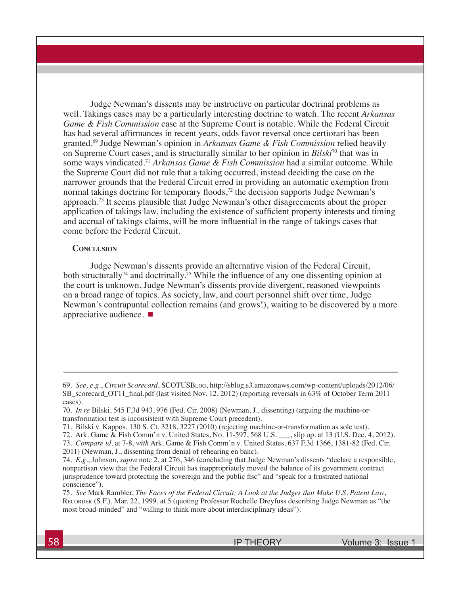Judge Newman's dissents may be instructive on particular doctrinal problems as well. Takings cases may be a particularly interesting doctrine to watch. The recent *Arkansas Game & Fish Commission* case at the Supreme Court is notable. While the Federal Circuit has had several affirmances in recent years, odds favor reversal once certiorari has been granted.69 Judge Newman's opinion in *Arkansas Game & Fish Commission* relied heavily on Supreme Court cases, and is structurally similar to her opinion in *Bilski*70 that was in some ways vindicated.71 *Arkansas Game & Fish Commission* had a similar outcome. While the Supreme Court did not rule that a taking occurred, instead deciding the case on the narrower grounds that the Federal Circuit erred in providing an automatic exemption from normal takings doctrine for temporary floods, $72$  the decision supports Judge Newman's approach.73 It seems plausible that Judge Newman's other disagreements about the proper application of takings law, including the existence of sufficient property interests and timing and accrual of takings claims, will be more influential in the range of takings cases that come before the Federal Circuit.

#### **CONCLUSION**

Judge Newman's dissents provide an alternative vision of the Federal Circuit, both structurally<sup>74</sup> and doctrinally.<sup>75</sup> While the influence of any one dissenting opinion at the court is unknown, Judge Newman's dissents provide divergent, reasoned viewpoints on a broad range of topics. As society, law, and court personnel shift over time, Judge Newman's contrapuntal collection remains (and grows!), waiting to be discovered by a more appreciative audience.

<sup>69.</sup> *See, e.g.*, *Circuit Scorecard*, SCOTUSBlog, http://sblog.s3.amazonaws.com/wp-content/uploads/2012/06/ SB\_scorecard\_OT11\_final.pdf (last visited Nov. 12, 2012) (reporting reversals in 63% of October Term 2011 cases).

<sup>70.</sup> *In re* Bilski, 545 F.3d 943, 976 (Fed. Cir. 2008) (Newman, J., dissenting) (arguing the machine-ortransformation test is inconsistent with Supreme Court precedent).

<sup>71.</sup> Bilski v. Kappos, 130 S. Ct. 3218, 3227 (2010) (rejecting machine-or-transformation as sole test).

<sup>72.</sup> Ark. Game & Fish Comm'n v. United States, No. 11-597, 568 U.S. \_\_\_, slip op. at 13 (U.S. Dec. 4, 2012).

<sup>73.</sup> *Compare id.* at 7-8, *with* Ark. Game & Fish Comm'n v. United States, 637 F.3d 1366, 1381-82 (Fed. Cir. 2011) (Newman, J., dissenting from denial of rehearing en banc).

<sup>74.</sup> *E.g.*, Johnson, *supra* note 2, at 276, 346 (concluding that Judge Newman's dissents "declare a responsible, nonpartisan view that the Federal Circuit has inappropriately moved the balance of its government contract jurisprudence toward protecting the sovereign and the public fisc" and "speak for a frustrated national conscience").

<sup>75.</sup> *See* Mark Rambler, *The Faces of the Federal Circuit; A Look at the Judges that Make U.S. Patent Law*, Recorder (S.F.), Mar. 22, 1999, at 5 (quoting Professor Rochelle Dreyfuss describing Judge Newman as "the most broad-minded" and "willing to think more about interdisciplinary ideas").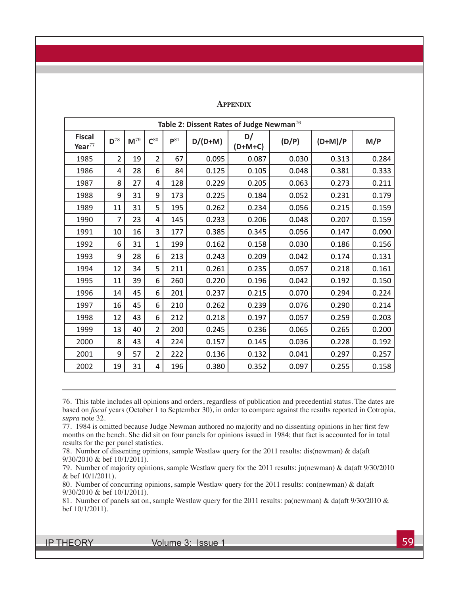| Table 2: Dissent Rates of Judge Newman <sup>76</sup> |                   |          |                |                   |           |                 |       |           |       |  |
|------------------------------------------------------|-------------------|----------|----------------|-------------------|-----------|-----------------|-------|-----------|-------|--|
| <b>Fiscal</b><br>Year $^{77}$                        | $\mathbf{D}^{78}$ | $M^{79}$ | $C^{80}$       | $\mathsf{P}^{81}$ | $D/(D+M)$ | D/<br>$(D+M+C)$ | (D/P) | $(D+M)/P$ | M/P   |  |
| 1985                                                 | 2                 | 19       | $\overline{2}$ | 67                | 0.095     | 0.087           | 0.030 | 0.313     | 0.284 |  |
| 1986                                                 | 4                 | 28       | 6              | 84                | 0.125     | 0.105           | 0.048 | 0.381     | 0.333 |  |
| 1987                                                 | 8                 | 27       | 4              | 128               | 0.229     | 0.205           | 0.063 | 0.273     | 0.211 |  |
| 1988                                                 | 9                 | 31       | 9              | 173               | 0.225     | 0.184           | 0.052 | 0.231     | 0.179 |  |
| 1989                                                 | 11                | 31       | 5              | 195               | 0.262     | 0.234           | 0.056 | 0.215     | 0.159 |  |
| 1990                                                 | 7                 | 23       | 4              | 145               | 0.233     | 0.206           | 0.048 | 0.207     | 0.159 |  |
| 1991                                                 | 10                | 16       | 3              | 177               | 0.385     | 0.345           | 0.056 | 0.147     | 0.090 |  |
| 1992                                                 | 6                 | 31       | 1              | 199               | 0.162     | 0.158           | 0.030 | 0.186     | 0.156 |  |
| 1993                                                 | 9                 | 28       | 6              | 213               | 0.243     | 0.209           | 0.042 | 0.174     | 0.131 |  |
| 1994                                                 | 12                | 34       | 5              | 211               | 0.261     | 0.235           | 0.057 | 0.218     | 0.161 |  |
| 1995                                                 | 11                | 39       | 6              | 260               | 0.220     | 0.196           | 0.042 | 0.192     | 0.150 |  |
| 1996                                                 | 14                | 45       | 6              | 201               | 0.237     | 0.215           | 0.070 | 0.294     | 0.224 |  |
| 1997                                                 | 16                | 45       | 6              | 210               | 0.262     | 0.239           | 0.076 | 0.290     | 0.214 |  |
| 1998                                                 | 12                | 43       | 6              | 212               | 0.218     | 0.197           | 0.057 | 0.259     | 0.203 |  |
| 1999                                                 | 13                | 40       | $\overline{2}$ | 200               | 0.245     | 0.236           | 0.065 | 0.265     | 0.200 |  |
| 2000                                                 | 8                 | 43       | 4              | 224               | 0.157     | 0.145           | 0.036 | 0.228     | 0.192 |  |
| 2001                                                 | 9                 | 57       | $\overline{2}$ | 222               | 0.136     | 0.132           | 0.041 | 0.297     | 0.257 |  |
| 2002                                                 | 19                | 31       | 4              | 196               | 0.380     | 0.352           | 0.097 | 0.255     | 0.158 |  |

76. This table includes all opinions and orders, regardless of publication and precedential status. The dates are based on *fiscal* years (October 1 to September 30), in order to compare against the results reported in Cotropia, *supra* note 32.

77. 1984 is omitted because Judge Newman authored no majority and no dissenting opinions in her first few months on the bench. She did sit on four panels for opinions issued in 1984; that fact is accounted for in total results for the per panel statistics.

78. Number of dissenting opinions, sample Westlaw query for the 2011 results: dis(newman) & da(aft 9/30/2010 & bef 10/1/2011).

79. Number of majority opinions, sample Westlaw query for the 2011 results: ju(newman) & da(aft 9/30/2010 & bef 10/1/2011).

80. Number of concurring opinions, sample Westlaw query for the 2011 results: con(newman) & da(aft 9/30/2010 & bef 10/1/2011).

81. Number of panels sat on, sample Westlaw query for the 2011 results: pa(newman) & da(aft 9/30/2010 & bef 10/1/2011).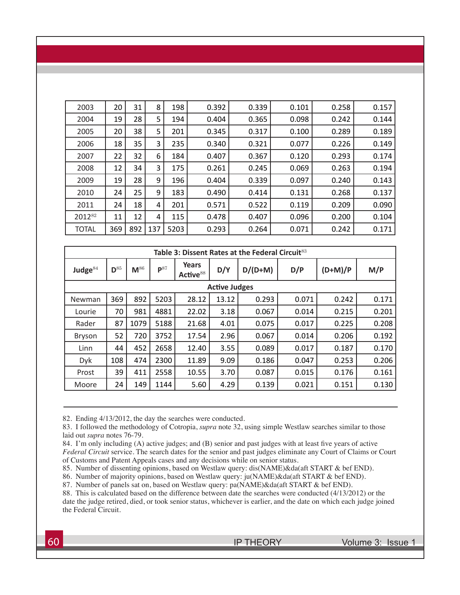| 2003         | 20  | 31  | 8   | 198  | 0.392 | 0.339 | 0.101 | 0.258 | 0.157 |
|--------------|-----|-----|-----|------|-------|-------|-------|-------|-------|
| 2004         | 19  | 28  | 5   | 194  | 0.404 | 0.365 | 0.098 | 0.242 | 0.144 |
| 2005         | 20  | 38  | 5   | 201  | 0.345 | 0.317 | 0.100 | 0.289 | 0.189 |
| 2006         | 18  | 35  | 3   | 235  | 0.340 | 0.321 | 0.077 | 0.226 | 0.149 |
| 2007         | 22  | 32  | 6   | 184  | 0.407 | 0.367 | 0.120 | 0.293 | 0.174 |
| 2008         | 12  | 34  | 3   | 175  | 0.261 | 0.245 | 0.069 | 0.263 | 0.194 |
| 2009         | 19  | 28  | 9   | 196  | 0.404 | 0.339 | 0.097 | 0.240 | 0.143 |
| 2010         | 24  | 25  | 9   | 183  | 0.490 | 0.414 | 0.131 | 0.268 | 0.137 |
| 2011         | 24  | 18  | 4   | 201  | 0.571 | 0.522 | 0.119 | 0.209 | 0.090 |
| 201282       | 11  | 12  | 4   | 115  | 0.478 | 0.407 | 0.096 | 0.200 | 0.104 |
| <b>TOTAL</b> | 369 | 892 | 137 | 5203 | 0.293 | 0.264 | 0.071 | 0.242 | 0.171 |

| Table 3: Dissent Rates at the Federal Circuit <sup>83</sup> |                   |          |                   |                         |                      |           |       |           |       |  |  |
|-------------------------------------------------------------|-------------------|----------|-------------------|-------------------------|----------------------|-----------|-------|-----------|-------|--|--|
| Judge $84$                                                  | $\mathbf{D}^{85}$ | $M^{86}$ | $\mathbf{P}^{87}$ | Years<br>Active $^{88}$ | D/Y                  | $D/(D+M)$ | D/P   | $(D+M)/P$ | M/P   |  |  |
|                                                             |                   |          |                   |                         | <b>Active Judges</b> |           |       |           |       |  |  |
| Newman                                                      | 369               | 892      | 5203              | 28.12                   | 13.12                | 0.293     | 0.071 | 0.242     | 0.171 |  |  |
| Lourie                                                      | 70                | 981      | 4881              | 22.02                   | 3.18                 | 0.067     | 0.014 | 0.215     | 0.201 |  |  |
| Rader                                                       | 87                | 1079     | 5188              | 21.68                   | 4.01                 | 0.075     | 0.017 | 0.225     | 0.208 |  |  |
| <b>Bryson</b>                                               | 52                | 720      | 3752              | 17.54                   | 2.96                 | 0.067     | 0.014 | 0.206     | 0.192 |  |  |
| Linn                                                        | 44                | 452      | 2658              | 12.40                   | 3.55                 | 0.089     | 0.017 | 0.187     | 0.170 |  |  |
| Dyk                                                         | 108               | 474      | 2300              | 11.89                   | 9.09                 | 0.186     | 0.047 | 0.253     | 0.206 |  |  |
| Prost                                                       | 39                | 411      | 2558              | 10.55                   | 3.70                 | 0.087     | 0.015 | 0.176     | 0.161 |  |  |
| Moore                                                       | 24                | 149      | 1144              | 5.60                    | 4.29                 | 0.139     | 0.021 | 0.151     | 0.130 |  |  |

82. Ending 4/13/2012, the day the searches were conducted.

83. I followed the methodology of Cotropia, *supra* note 32, using simple Westlaw searches similar to those laid out *supra* notes 76-79.

84. I'm only including (A) active judges; and (B) senior and past judges with at least five years of active *Federal Circuit* service. The search dates for the senior and past judges eliminate any Court of Claims or Court of Customs and Patent Appeals cases and any decisions while on senior status.

85. Number of dissenting opinions, based on Westlaw query: dis(NAME)&da(aft START & bef END).

86. Number of majority opinions, based on Westlaw query: ju(NAME)&da(aft START & bef END).

87. Number of panels sat on, based on Westlaw query: pa(NAME)&da(aft START & bef END).

88. This is calculated based on the difference between date the searches were conducted (4/13/2012) or the date the judge retired, died, or took senior status, whichever is earlier, and the date on which each judge joined the Federal Circuit.